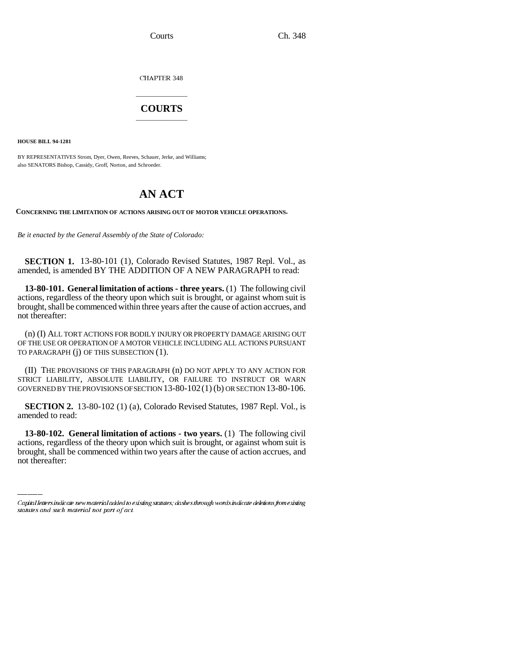CHAPTER 348

## \_\_\_\_\_\_\_\_\_\_\_\_\_\_\_ **COURTS** \_\_\_\_\_\_\_\_\_\_\_\_\_\_\_

**HOUSE BILL 94-1281**

BY REPRESENTATIVES Strom, Dyer, Owen, Reeves, Schauer, Jerke, and Williams; also SENATORS Bishop, Cassidy, Groff, Norton, and Schroeder.

## **AN ACT**

**CONCERNING THE LIMITATION OF ACTIONS ARISING OUT OF MOTOR VEHICLE OPERATIONS.**

*Be it enacted by the General Assembly of the State of Colorado:*

**SECTION 1.** 13-80-101 (1), Colorado Revised Statutes, 1987 Repl. Vol., as amended, is amended BY THE ADDITION OF A NEW PARAGRAPH to read:

**13-80-101. General limitation of actions - three years.** (1) The following civil actions, regardless of the theory upon which suit is brought, or against whom suit is brought, shall be commenced within three years after the cause of action accrues, and not thereafter:

(n) (I) ALL TORT ACTIONS FOR BODILY INJURY OR PROPERTY DAMAGE ARISING OUT OF THE USE OR OPERATION OF A MOTOR VEHICLE INCLUDING ALL ACTIONS PURSUANT TO PARAGRAPH (j) OF THIS SUBSECTION (1).

(II) THE PROVISIONS OF THIS PARAGRAPH (n) DO NOT APPLY TO ANY ACTION FOR STRICT LIABILITY, ABSOLUTE LIABILITY, OR FAILURE TO INSTRUCT OR WARN GOVERNED BY THE PROVISIONS OF SECTION 13-80-102(1) (b) OR SECTION 13-80-106.

**SECTION 2.** 13-80-102 (1) (a), Colorado Revised Statutes, 1987 Repl. Vol., is amended to read:

 **13-80-102. General limitation of actions - two years.** (1) The following civil actions, regardless of the theory upon which suit is brought, or against whom suit is brought, shall be commenced within two years after the cause of action accrues, and not thereafter:

Capital letters indicate new material added to existing statutes; dashes through words indicate deletions from existing statutes and such material not part of act.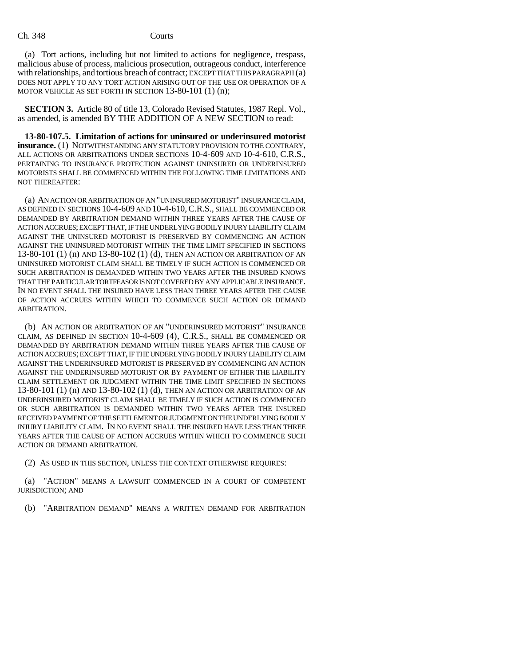(a) Tort actions, including but not limited to actions for negligence, trespass, malicious abuse of process, malicious prosecution, outrageous conduct, interference with relationships, and tortious breach of contract; EXCEPT THAT THIS PARAGRAPH (a) DOES NOT APPLY TO ANY TORT ACTION ARISING OUT OF THE USE OR OPERATION OF A MOTOR VEHICLE AS SET FORTH IN SECTION 13-80-101 (1) (n);

**SECTION 3.** Article 80 of title 13, Colorado Revised Statutes, 1987 Repl. Vol., as amended, is amended BY THE ADDITION OF A NEW SECTION to read:

**13-80-107.5. Limitation of actions for uninsured or underinsured motorist insurance.** (1) NOTWITHSTANDING ANY STATUTORY PROVISION TO THE CONTRARY, ALL ACTIONS OR ARBITRATIONS UNDER SECTIONS 10-4-609 AND 10-4-610, C.R.S., PERTAINING TO INSURANCE PROTECTION AGAINST UNINSURED OR UNDERINSURED MOTORISTS SHALL BE COMMENCED WITHIN THE FOLLOWING TIME LIMITATIONS AND NOT THEREAFTER:

(a) AN ACTION OR ARBITRATION OF AN "UNINSURED MOTORIST" INSURANCE CLAIM, AS DEFINED IN SECTIONS 10-4-609 AND 10-4-610,C.R.S., SHALL BE COMMENCED OR DEMANDED BY ARBITRATION DEMAND WITHIN THREE YEARS AFTER THE CAUSE OF ACTION ACCRUES; EXCEPT THAT, IF THE UNDERLYING BODILY INJURY LIABILITY CLAIM AGAINST THE UNINSURED MOTORIST IS PRESERVED BY COMMENCING AN ACTION AGAINST THE UNINSURED MOTORIST WITHIN THE TIME LIMIT SPECIFIED IN SECTIONS 13-80-101 (1) (n) AND 13-80-102 (1) (d), THEN AN ACTION OR ARBITRATION OF AN UNINSURED MOTORIST CLAIM SHALL BE TIMELY IF SUCH ACTION IS COMMENCED OR SUCH ARBITRATION IS DEMANDED WITHIN TWO YEARS AFTER THE INSURED KNOWS THAT THE PARTICULAR TORTFEASOR IS NOT COVERED BY ANY APPLICABLE INSURANCE. IN NO EVENT SHALL THE INSURED HAVE LESS THAN THREE YEARS AFTER THE CAUSE OF ACTION ACCRUES WITHIN WHICH TO COMMENCE SUCH ACTION OR DEMAND ARBITRATION.

(b) AN ACTION OR ARBITRATION OF AN "UNDERINSURED MOTORIST" INSURANCE CLAIM, AS DEFINED IN SECTION 10-4-609 (4), C.R.S., SHALL BE COMMENCED OR DEMANDED BY ARBITRATION DEMAND WITHIN THREE YEARS AFTER THE CAUSE OF ACTION ACCRUES; EXCEPT THAT, IF THE UNDERLYING BODILY INJURY LIABILITY CLAIM AGAINST THE UNDERINSURED MOTORIST IS PRESERVED BY COMMENCING AN ACTION AGAINST THE UNDERINSURED MOTORIST OR BY PAYMENT OF EITHER THE LIABILITY CLAIM SETTLEMENT OR JUDGMENT WITHIN THE TIME LIMIT SPECIFIED IN SECTIONS 13-80-101 (1) (n) AND 13-80-102 (1) (d), THEN AN ACTION OR ARBITRATION OF AN UNDERINSURED MOTORIST CLAIM SHALL BE TIMELY IF SUCH ACTION IS COMMENCED OR SUCH ARBITRATION IS DEMANDED WITHIN TWO YEARS AFTER THE INSURED RECEIVED PAYMENT OF THE SETTLEMENT OR JUDGMENT ON THE UNDERLYING BODILY INJURY LIABILITY CLAIM. IN NO EVENT SHALL THE INSURED HAVE LESS THAN THREE YEARS AFTER THE CAUSE OF ACTION ACCRUES WITHIN WHICH TO COMMENCE SUCH ACTION OR DEMAND ARBITRATION.

(2) AS USED IN THIS SECTION, UNLESS THE CONTEXT OTHERWISE REQUIRES:

(a) "ACTION" MEANS A LAWSUIT COMMENCED IN A COURT OF COMPETENT JURISDICTION; AND

(b) "ARBITRATION DEMAND" MEANS A WRITTEN DEMAND FOR ARBITRATION